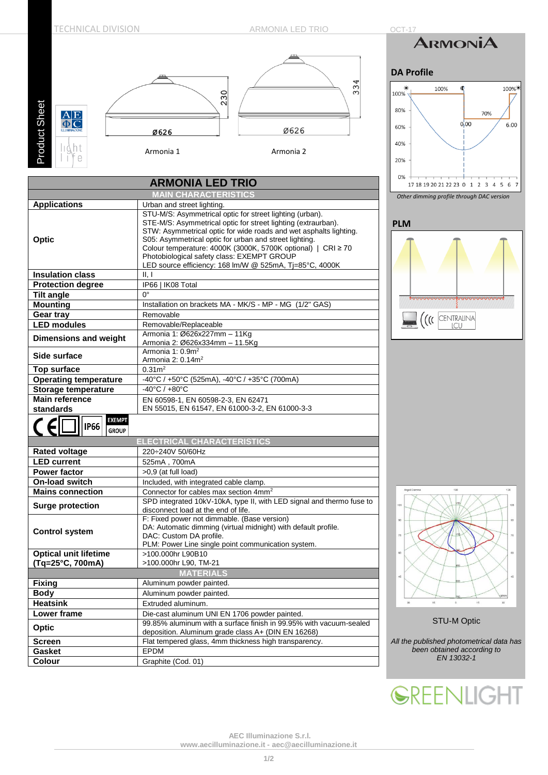

100%

6.00